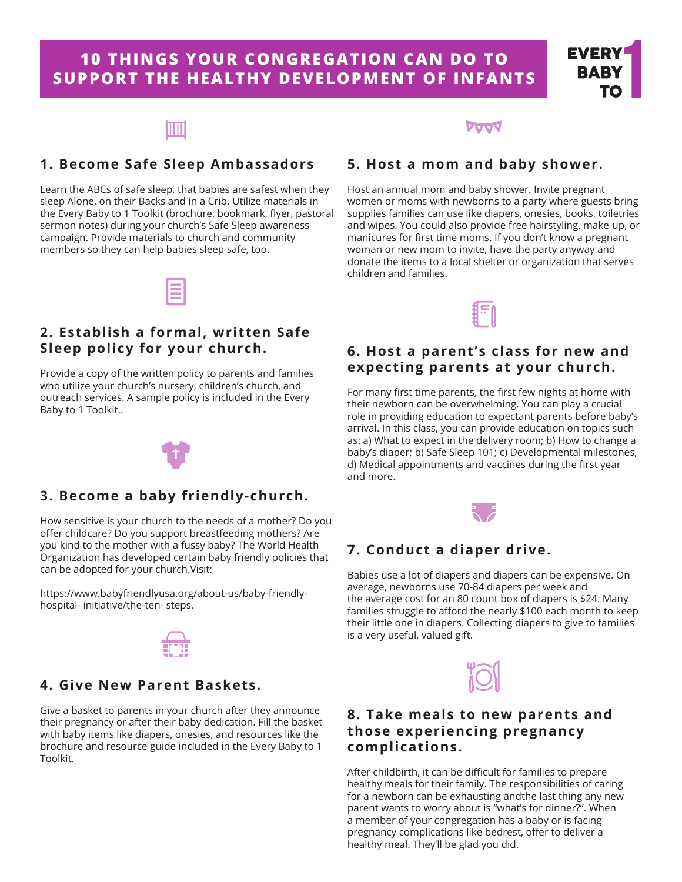# **10 THINGS YOUR CONGREGATION CAN DO TO SUPPORT THE HEALTHY DEVELOPMENT OF INFANTS**



## **1. Become Safe Sleep Ambassadors**

Learn the ABCs of safe sleep, that babies are safest when they sleep Alone, on their Backs and in a Crib. Utilize materials in the Every Baby to 1 Toolkit (brochure, bookmark, flyer, pastoral sermon notes) during your church's Safe Sleep awareness campaign. Provide materials to church and community members so they can help babies sleep safe, too.

## **5. Host a mom and baby shower.**

Host an annual mom and baby shower. Invite pregnant women or moms with newborns to a party where guests bring supplies families can use like diapers, onesies, books, toiletries and wipes. You could also provide free hairstyling, make-up, or manicures for first time moms. If you don't know a pregnant woman or new mom to invite, have the party anyway and donate the items to a local shelter or organization that serves children and families.



#### **6. Host a parent's class for new and expecting parents at your church.**

For many first time parents, the first few nights at home with their newborn can be overwhelming. You can play a crucial role in providing education to expectant parents before baby's arrival. In this class, you can provide education on topics such as: a) What to expect in the delivery room; b) How to change a baby's diaper; b) Safe Sleep 101; c) Developmental milestones, d) Medical appointments and vaccines during the first year and more.



### **7. Conduct a diaper drive.**

Babies use a lot of diapers and diapers can be expensive. On average, newborns use 70-84 diapers per week and the average cost for an 80 count box of diapers is \$24. Many families struggle to afford the nearly \$100 each month to keep their little one in diapers. Collecting diapers to give to families is a very useful, valued gift.



#### **8. Take meals to new parents and those experiencing pregnancy complications.**

After childbirth, it can be difficult for families to prepare healthy meals for their family. The responsibilities of caring for a newborn can be exhausting andthe last thing any new parent wants to worry about is "what's for dinner?". When a member of your congregation has a baby or is facing pregnancy complications like bedrest, offer to deliver a healthy meal. They'll be glad you did.

## **2. Establish a formal, written Safe Sleep policy for your church.**

Provide a copy of the written policy to parents and families who utilize your church's nursery, children's church, and outreach services. A sample policy is included in the Every Baby to 1 Toolkit..



#### **3. Become a baby friendly-church.**

How sensitive is your church to the needs of a mother? Do you offer childcare? Do you support breastfeeding mothers? Are you kind to the mother with a fussy baby? The World Health Organization has developed certain baby friendly policies that can be adopted for your church.Visit:

https://www.babyfriendlyusa.org/about-us/baby-friendlyhospital- initiative/the-ten- steps.



#### **4. Give New Parent Baskets.**

Give a basket to parents in your church after they announce their pregnancy or after their baby dedication. Fill the basket with baby items like diapers, onesies, and resources like the brochure and resource guide included in the Every Baby to 1 Toolkit.